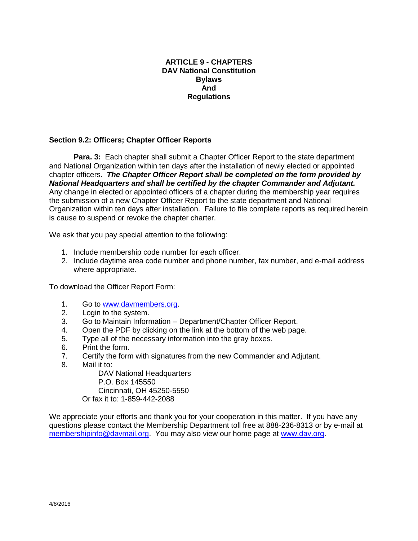## **ARTICLE 9 - CHAPTERS DAV National Constitution Bylaws And Regulations**

## **Section 9.2: Officers; Chapter Officer Reports**

**Para. 3:** Each chapter shall submit a Chapter Officer Report to the state department and National Organization within ten days after the installation of newly elected or appointed chapter officers. *The Chapter Officer Report shall be completed on the form provided by National Headquarters and shall be certified by the chapter Commander and Adjutant.*  Any change in elected or appointed officers of a chapter during the membership year requires the submission of a new Chapter Officer Report to the state department and National Organization within ten days after installation. Failure to file complete reports as required herein is cause to suspend or revoke the chapter charter.

We ask that you pay special attention to the following:

- 1. Include membership code number for each officer.
- 2. Include daytime area code number and phone number, fax number, and e-mail address where appropriate.

To download the Officer Report Form:

- 1. Go to [www.davmembers.org.](http://www.davmembers.org/)
- 2. Login to the system.
- 3. Go to Maintain Information Department/Chapter Officer Report.
- 4. Open the PDF by clicking on the link at the bottom of the web page.
- 5. Type all of the necessary information into the gray boxes.
- 6. Print the form.
- 7. Certify the form with signatures from the new Commander and Adjutant.
- 8. Mail it to:

DAV National Headquarters P.O. Box 145550 Cincinnati, OH 45250-5550 Or fax it to: 1-859-442-2088

We appreciate your efforts and thank you for your cooperation in this matter. If you have any questions please contact the Membership Department toll free at 888-236-8313 or by e-mail at [membershipinfo@davmail.org.](mailto:membershipinfo@davmail.org) You may also view our home page at [www.dav.org.](http://www.dav.org/)